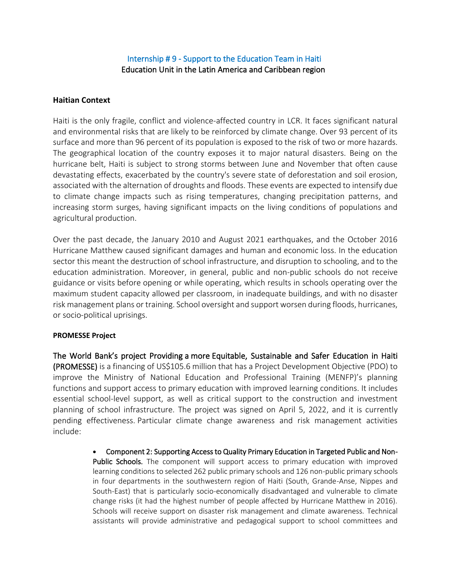# Internship # 9 - Support to the Education Team in Haiti Education Unit in the Latin America and Caribbean region

#### **Haitian Context**

Haiti is the only fragile, conflict and violence-affected country in LCR. It faces significant natural and environmental risks that are likely to be reinforced by climate change. Over 93 percent of its surface and more than 96 percent of its population is exposed to the risk of two or more hazards. The geographical location of the country exposes it to major natural disasters. Being on the hurricane belt, Haiti is subject to strong storms between June and November that often cause devastating effects, exacerbated by the country's severe state of deforestation and soil erosion, associated with the alternation of droughts and floods. These events are expected to intensify due to climate change impacts such as rising temperatures, changing precipitation patterns, and increasing storm surges, having significant impacts on the living conditions of populations and agricultural production.

Over the past decade, the January 2010 and August 2021 earthquakes, and the October 2016 Hurricane Matthew caused significant damages and human and economic loss. In the education sector this meant the destruction of school infrastructure, and disruption to schooling, and to the education administration. Moreover, in general, public and non-public schools do not receive guidance or visits before opening or while operating, which results in schools operating over the maximum student capacity allowed per classroom, in inadequate buildings, and with no disaster risk management plans or training. School oversight and support worsen during floods, hurricanes, or socio-political uprisings.

#### **PROMESSE Project**

The World Bank's project Providing a more Equitable, Sustainable and Safer Education in Haiti (PROMESSE) is a financing of US\$105.6 million that has a Project Development Objective (PDO) to improve the Ministry of National Education and Professional Training (MENFP)'s planning functions and support access to primary education with improved learning conditions. It includes essential school-level support, as well as critical support to the construction and investment planning of school infrastructure. The project was signed on April 5, 2022, and it is currently pending effectiveness. Particular climate change awareness and risk management activities include:

> • Component 2: Supporting Access to Quality Primary Education in Targeted Public and Non-Public Schools. The component will support access to primary education with improved learning conditions to selected 262 public primary schools and 126 non-public primary schools in four departments in the southwestern region of Haiti (South, Grande-Anse, Nippes and South-East) that is particularly socio-economically disadvantaged and vulnerable to climate change risks (it had the highest number of people affected by Hurricane Matthew in 2016). Schools will receive support on disaster risk management and climate awareness. Technical assistants will provide administrative and pedagogical support to school committees and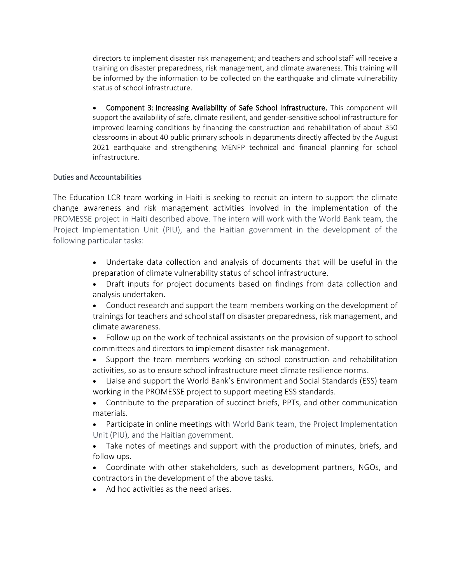directors to implement disaster risk management; and teachers and school staff will receive a training on disaster preparedness, risk management, and climate awareness. This training will be informed by the information to be collected on the earthquake and climate vulnerability status of school infrastructure.

• Component 3: Increasing Availability of Safe School Infrastructure. This component will support the availability of safe, climate resilient, and gender-sensitive school infrastructure for improved learning conditions by financing the construction and rehabilitation of about 350 classrooms in about 40 public primary schools in departments directly affected by the August 2021 earthquake and strengthening MENFP technical and financial planning for school infrastructure.

#### Duties and Accountabilities

The Education LCR team working in Haiti is seeking to recruit an intern to support the climate change awareness and risk management activities involved in the implementation of the PROMESSE project in Haiti described above. The intern will work with the World Bank team, the Project Implementation Unit (PIU), and the Haitian government in the development of the following particular tasks:

- Undertake data collection and analysis of documents that will be useful in the preparation of climate vulnerability status of school infrastructure.
- Draft inputs for project documents based on findings from data collection and analysis undertaken.
- Conduct research and support the team members working on the development of trainings for teachers and school staff on disaster preparedness, risk management, and climate awareness.
- Follow up on the work of technical assistants on the provision of support to school committees and directors to implement disaster risk management.
- Support the team members working on school construction and rehabilitation activities, so as to ensure school infrastructure meet climate resilience norms.
- Liaise and support the World Bank's Environment and Social Standards (ESS) team working in the PROMESSE project to support meeting ESS standards.
- Contribute to the preparation of succinct briefs, PPTs, and other communication materials.
- Participate in online meetings with World Bank team, the Project Implementation Unit (PIU), and the Haitian government.
- Take notes of meetings and support with the production of minutes, briefs, and follow ups.
- Coordinate with other stakeholders, such as development partners, NGOs, and contractors in the development of the above tasks.
- Ad hoc activities as the need arises.